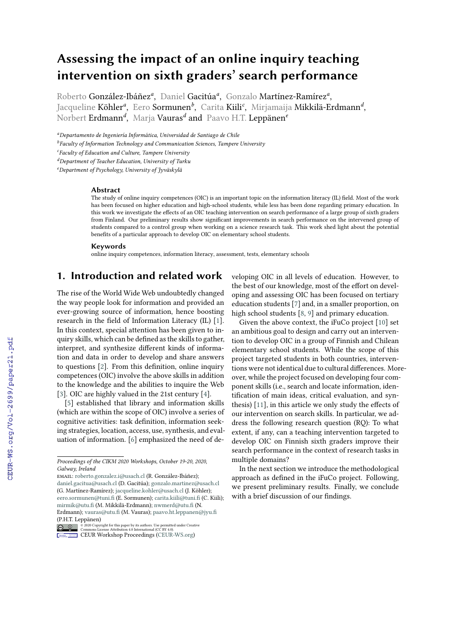# **Assessing the impact of an online inquiry teaching intervention on sixth graders' search performance**

Roberto González-Ibáñez*<sup>a</sup>* , Daniel Gacitúa*<sup>a</sup>* , Gonzalo Martínez-Ramírez*<sup>a</sup>* , Jacqueline **Köhler<sup>a</sup>,** Eero **Sormunen<sup>b</sup>, Carita Kiili<sup>c</sup>, Mirjamaija <b>Mikkilä-Erdmann<sup>d</sup>,** Norbert Erdmann*<sup>d</sup>* , Marja Vauras*<sup>d</sup>* and Paavo H.T. Leppänen*<sup>e</sup>*

*<sup>a</sup>Departamento de Ingeniería Informática, Universidad de Santiago de Chile*

*b Faculty of Information Technology and Communication Sciences, Tampere University*

*<sup>d</sup>Department of Teacher Education, University of Turku*

*<sup>e</sup>Department of Psychology, University of Jyväskylä*

#### **Abstract**

The study of online inquiry competences (OIC) is an important topic on the information literacy (IL) field. Most of the work has been focused on higher education and high-school students, while less has been done regarding primary education. In this work we investigate the effects of an OIC teaching intervention on search performance of a large group of sixth graders from Finland. Our preliminary results show significant improvements in search performance on the intervened group of students compared to a control group when working on a science research task. This work shed light about the potential benefits of a particular approach to develop OIC on elementary school students.

#### **Keywords**

online inquiry competences, information literacy, assessment, tests, elementary schools

# **1. Introduction and related work**

The rise of the World Wide Web undoubtedly changed the way people look for information and provided an ever-growing source of information, hence boosting research in the field of Information Literacy (IL) [\[1\]](#page--1-0). In this context, special attention has been given to inquiry skills, which can be defined as the skills to gather, interpret, and synthesize different kinds of information and data in order to develop and share answers to questions [\[2\]](#page--1-1). From this definition, online inquiry competences (OIC) involve the above skills in addition to the knowledge and the abilities to inquire the Web [\[3\]](#page--1-2). OIC are highly valued in the 21st century [\[4\]](#page--1-3).

[\[5\]](#page--1-4) established that library and information skills (which are within the scope of OIC) involve a series of cognitive activities: task definition, information seeking strategies, location, access, use, synthesis, and evaluation of information. [\[6\]](#page--1-5) emphasized the need of de-

[\(P.H.T. Le](https://creativecommons.org/licenses/by/4.0)ppänen)

veloping OIC in all levels of education. However, to the best of our knowledge, most of the effort on developing and assessing OIC has been focused on tertiary education students [\[7\]](#page--1-6) and, in a smaller proportion, on high school students [\[8,](#page--1-7) [9\]](#page--1-8) and primary education.

Given the above context, the iFuCo project [\[10\]](#page--1-9) set an ambitious goal to design and carry out an intervention to develop OIC in a group of Finnish and Chilean elementary school students. While the scope of this project targeted students in both countries, interventions were not identical due to cultural differences. Moreover, while the project focused on developing four component skills (i.e., search and locate information, identification of main ideas, critical evaluation, and synthesis) [\[11\]](#page--1-10), in this article we only study the effects of our intervention on search skills. In particular, we address the following research question (RQ): To what extent, if any, can a teaching intervention targeted to develop OIC on Finnish sixth graders improve their search performance in the context of research tasks in multiple domains?

In the next section we introduce the methodological approach as defined in the iFuCo project. Following, we present preliminary results. Finally, we conclude with a brief discussion of our findings.

*c Faculty of Education and Culture, Tampere University*

*Proceedings of the CIKM 2020 Workshops, October 19-20, 2020, Galway, Ireland*

email: [roberto.gonzalez.i@usach.cl](mailto:roberto.gonzalez.i@usach.cl) (R. González-Ibáñez); [daniel.gacitua@usach.cl](mailto:daniel.gacitua@usach.cl) (D. Gacitúa); [gonzalo.martinez@usach.cl](mailto:gonzalo.martinez@usach.cl) (G. Martínez-Ramírez); [jacqueline.kohler@usach.cl](mailto:jacqueline.kohler@usach.cl) (J. Köhler); [eero.sormunen@tuni.fi](mailto:eero.sormunen@tuni.fi) (E. Sormunen); [carita.kiili@tuni.fi](mailto:carita.kiili@tuni.fi) (C. Kiili); [mirmik@utu.fi](mailto:mirmik@utu.fi) (M. Mikkilä-Erdmann); [nwmerd@utu.fi](mailto:nwmerd@utu.fi) (N. Erdmann); [vauras@utu.fi](mailto:vauras@utu.fi) (M. Vauras); [paavo.ht.leppanen@jyu.fi](mailto:paavo.ht.leppanen@jyu.fi)

<sup>©</sup> 2020 Copyright for this paper by its authors. Use permitted under Creative Commons License Attribution 4.0 International (CC BY 4.0).

**CEUR Workshop [Proceedings](http://ceur-ws.org) [\(CEUR-WS.org\)](http://ceur-ws.org)**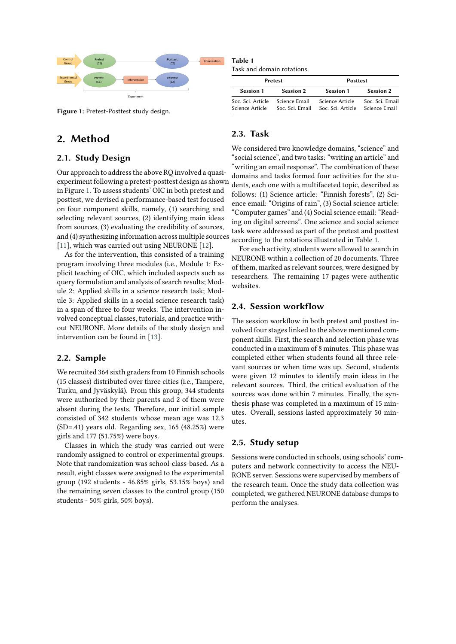

<span id="page-1-0"></span>**Figure 1:** Pretest-Posttest study design.

# **2. Method**

### **2.1. Study Design**

Our approach to address the above RQ involved a quasiexperiment following a pretest-posttest design as shown in Figure [1.](#page-1-0) To assess students' OIC in both pretest and posttest, we devised a performance-based test focused on four component skills, namely, (1) searching and selecting relevant sources, (2) identifying main ideas from sources, (3) evaluating the credibility of sources, and (4) synthesizing information across multiple sources [\[11\]](#page-3-0), which was carried out using NEURONE [\[12\]](#page-3-1).

As for the intervention, this consisted of a training program involving three modules (i.e., Module 1: Explicit teaching of OIC, which included aspects such as query formulation and analysis of search results; Module 2: Applied skills in a science research task; Module 3: Applied skills in a social science research task) in a span of three to four weeks. The intervention involved conceptual classes, tutorials, and practice without NEURONE. More details of the study design and intervention can be found in [\[13\]](#page-3-2).

#### **2.2. Sample**

We recruited 364 sixth graders from 10 Finnish schools (15 classes) distributed over three cities (i.e., Tampere, Turku, and Jyväskylä). From this group, 344 students were authorized by their parents and 2 of them were absent during the tests. Therefore, our initial sample consisted of 342 students whose mean age was 12.3 (SD=.41) years old. Regarding sex, 165 (48.25%) were girls and 177 (51.75%) were boys.

Classes in which the study was carried out were randomly assigned to control or experimental groups. Note that randomization was school-class-based. As a result, eight classes were assigned to the experimental group (192 students - 46.85% girls, 53.15% boys) and the remaining seven classes to the control group (150 students - 50% girls, 50% boys).

### **Table 1**

<span id="page-1-1"></span>Task and domain rotations.

| Pretest                                            |                  | <b>Posttest</b>                      |                                  |  |  |
|----------------------------------------------------|------------------|--------------------------------------|----------------------------------|--|--|
| Session 1                                          | <b>Session 2</b> | <b>Session 1</b>                     | <b>Session 2</b>                 |  |  |
| Soc. Sci. Article Science Email<br>Science Article | Soc. Sci. Email  | Science Article<br>Soc. Sci. Article | Soc. Sci. Email<br>Science Email |  |  |

### **2.3. Task**

We considered two knowledge domains, "science" and "social science", and two tasks: "writing an article" and "writing an email response". The combination of these domains and tasks formed four activities for the students, each one with a multifaceted topic, described as follows: (1) Science article: "Finnish forests", (2) Science email: "Origins of rain", (3) Social science article: "Computer games" and (4) Social science email: "Reading on digital screens". One science and social science task were addressed as part of the pretest and posttest according to the rotations illustrated in Table [1.](#page-1-1)

For each activity, students were allowed to search in NEURONE within a collection of 20 documents. Three of them, marked as relevant sources, were designed by researchers. The remaining 17 pages were authentic websites.

#### **2.4. Session workflow**

The session workflow in both pretest and posttest involved four stages linked to the above mentioned component skills. First, the search and selection phase was conducted in a maximum of 8 minutes. This phase was completed either when students found all three relevant sources or when time was up. Second, students were given 12 minutes to identify main ideas in the relevant sources. Third, the critical evaluation of the sources was done within 7 minutes. Finally, the synthesis phase was completed in a maximum of 15 minutes. Overall, sessions lasted approximately 50 minutes.

#### **2.5. Study setup**

Sessions were conducted in schools, using schools' computers and network connectivity to access the NEU-RONE server. Sessions were supervised by members of the research team. Once the study data collection was completed, we gathered NEURONE database dumps to perform the analyses.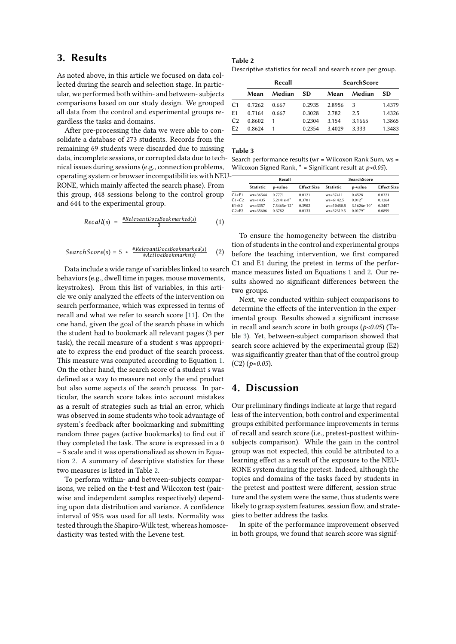## **3. Results**

As noted above, in this article we focused on data collected during the search and selection stage. In particular, we performed both within- and between- subjects comparisons based on our study design. We grouped all data from the control and experimental groups regardless the tasks and domains.

After pre-processing the data we were able to consolidate a database of 273 students. Records from the remaining 69 students were discarded due to missing data, incomplete sessions, or corrupted data due to technical issues during sessions (e.g., connection problems, operating system or browser incompatibilities with NEU-RONE, which mainly affected the search phase). From this group, 448 sessions belong to the control group and 644 to the experimental group.

<span id="page-2-0"></span>
$$
Recall(s) = \frac{\# RelevantDocsBookmarked(s)}{3} \tag{1}
$$

<span id="page-2-1"></span>
$$
SearchScore(s) = 5 * \frac{\# RelevantDoesBookmarked(s)}{\#ActiveBookmarks(s)} \qquad (2)
$$

Data include a wide range of variables linked to search behaviors (e.g., dwell time in pages, mouse movements, keystrokes). From this list of variables, in this article we only analyzed the effects of the intervention on search performance, which was expressed in terms of recall and what we refer to search score [\[11\]](#page-3-0). On the one hand, given the goal of the search phase in which the student had to bookmark all relevant pages (3 per task), the recall measure of a student *s* was appropriate to express the end product of the search process. This measure was computed according to Equation [1.](#page-2-0) On the other hand, the search score of a student *s* was defined as a way to measure not only the end product but also some aspects of the search process. In particular, the search score takes into account mistakes as a result of strategies such as trial an error, which was observed in some students who took advantage of system's feedback after bookmarking and submitting random three pages (active bookmarks) to find out if they completed the task. The score is expressed in a 0 – 5 scale and it was operationalized as shown in Equation [2.](#page-2-1) A summary of descriptive statistics for these two measures is listed in Table [2.](#page-2-2)

To perform within- and between-subjects comparisons, we relied on the t-test and Wilcoxon test (pairwise and independent samples respectively) depending upon data distribution and variance. A confidence interval of 95% was used for all tests. Normality was tested through the Shapiro-Wilk test, whereas homoscedasticity was tested with the Levene test.

# **Table 2**

<span id="page-2-2"></span>Descriptive statistics for recall and search score per group.

|                | Recall |        |        | <b>SearchScore</b> |        |        |
|----------------|--------|--------|--------|--------------------|--------|--------|
|                | Mean   | Median | SD.    | Mean               | Median | SD.    |
| C <sub>1</sub> | 0.7262 | 0.667  | 0.2935 | 2.8956             | 3      | 1.4379 |
| F1             | 0.7164 | 0.667  | 0.3028 | 2.782              | 2.5    | 1.4326 |
| C <sub>2</sub> | 0.8602 |        | 0.2304 | 3.154              | 3.1665 | 1.3865 |
| F <sub>2</sub> | 0.8624 |        | 0.2354 | 3.4029             | 3.333  | 1.3483 |

#### **Table 3**

<span id="page-2-3"></span>Search performance results (wr = Wilcoxon Rank Sum, ws = Wilcoxon Signed Rank, \* = Significant result at *p<0.05*).

| Recall           |               |                    | <b>SearchScore</b> |               |                    |
|------------------|---------------|--------------------|--------------------|---------------|--------------------|
| <b>Statistic</b> | p-value       | <b>Effect Size</b> | <b>Statistic</b>   | p-value       | <b>Effect Size</b> |
| $wr = 36544$     | 0.7771        | 0.0121             | $wr = 37411$       | 0.4528        | 0.0321             |
| $ws = 1435$      | $5.2141e-8*$  | 0.3701             | $ws = 6142.5$      | $0.012*$      | 0.1264             |
| $ws = 3357$      | $7.5465e-12*$ | 0.3902             | $ws = 10450.5$     | $3.1626e-10*$ | 0.3407             |
| $wr = 35606$     | 0.3782        | 0.0133             | $wr = 32319.5$     | $0.0179*$     | 0.0899             |
|                  |               |                    |                    |               |                    |

To ensure the homogeneity between the distribution of students in the control and experimental groups before the teaching intervention, we first compared C1 and E1 during the pretest in terms of the performance measures listed on Equations [1](#page-2-0) and [2.](#page-2-1) Our results showed no significant differences between the two groups.

Next, we conducted within-subject comparisons to determine the effects of the intervention in the experimental group. Results showed a significant increase in recall and search score in both groups (*p<0.05*) (Table [3\)](#page-2-3). Yet, between-subject comparison showed that search score achieved by the experimental group (E2) was significantly greater than that of the control group (C2) (*p<0.05*).

### **4. Discussion**

Our preliminary findings indicate at large that regardless of the intervention, both control and experimental groups exhibited performance improvements in terms of recall and search score (i.e., pretest-posttest withinsubjects comparison). While the gain in the control group was not expected, this could be attributed to a learning effect as a result of the exposure to the NEU-RONE system during the pretest. Indeed, although the topics and domains of the tasks faced by students in the pretest and posttest were different, session structure and the system were the same, thus students were likely to grasp system features, session flow, and strategies to better address the tasks.

In spite of the performance improvement observed in both groups, we found that search score was signif